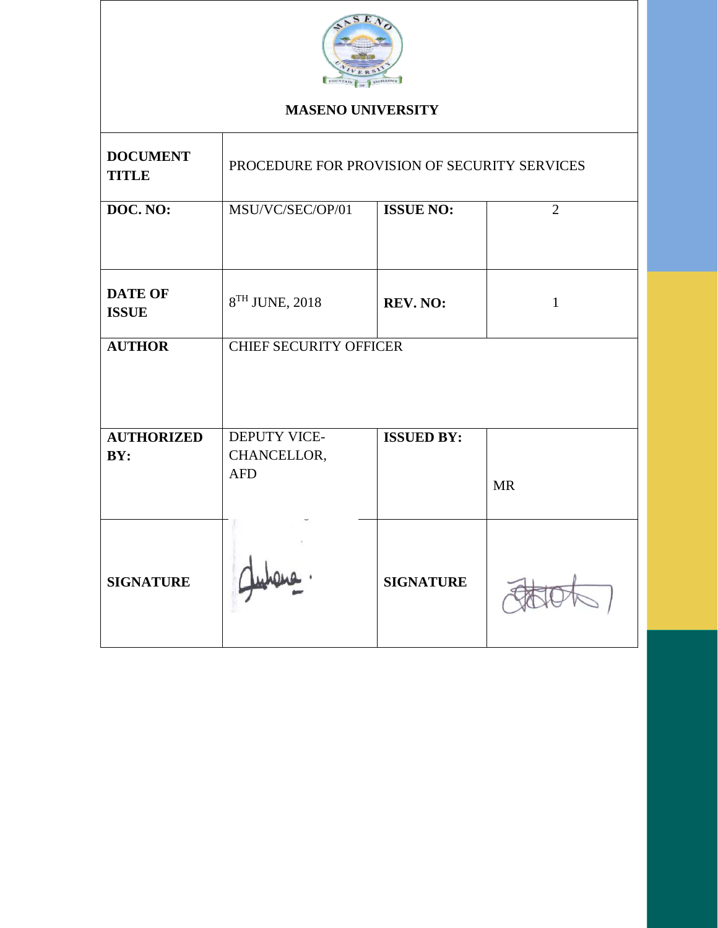

# **MASENO UNIVERSITY**

| <b>DOCUMENT</b><br><b>TITLE</b> | PROCEDURE FOR PROVISION OF SECURITY SERVICES |                   |                |  |  |
|---------------------------------|----------------------------------------------|-------------------|----------------|--|--|
| DOC. NO:                        | MSU/VC/SEC/OP/01                             | <b>ISSUE NO:</b>  | $\overline{2}$ |  |  |
| <b>DATE OF</b><br><b>ISSUE</b>  | 8TH JUNE, 2018                               | REV. NO:          | $\mathbf{1}$   |  |  |
| <b>AUTHOR</b>                   | <b>CHIEF SECURITY OFFICER</b>                |                   |                |  |  |
| <b>AUTHORIZED</b><br>BY:        | DEPUTY VICE-<br>CHANCELLOR,<br><b>AFD</b>    | <b>ISSUED BY:</b> | <b>MR</b>      |  |  |
| <b>SIGNATURE</b>                |                                              | <b>SIGNATURE</b>  |                |  |  |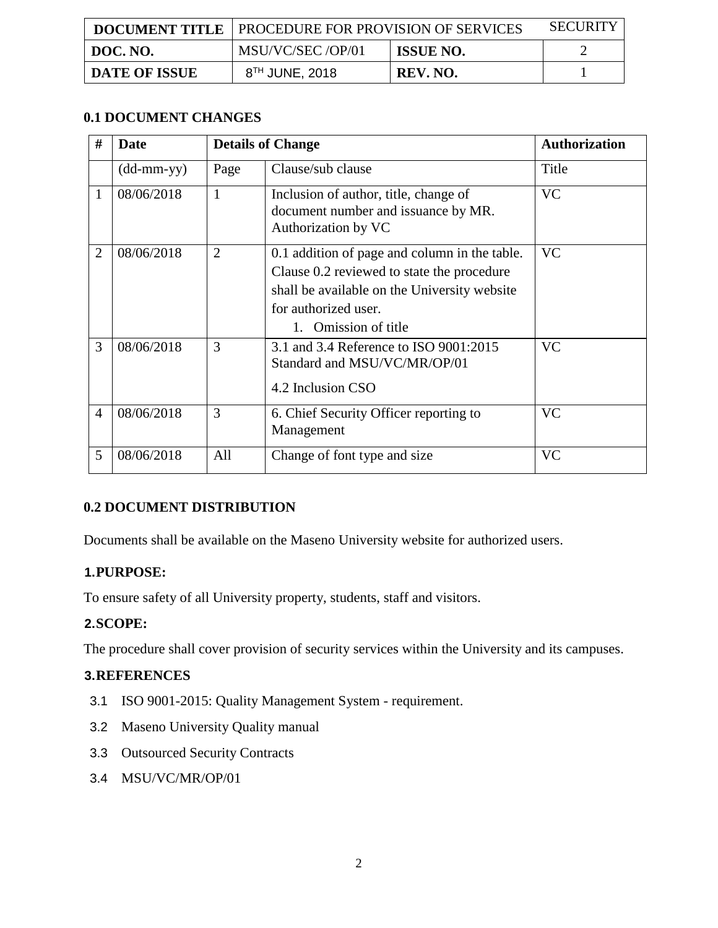|                      | <b>DOCUMENT TITLE   PROCEDURE FOR PROVISION OF SERVICES</b> |                  | <b>SECURITY</b> |
|----------------------|-------------------------------------------------------------|------------------|-----------------|
| DOC. NO.             | MSU/VC/SEC /OP/01                                           | <b>ISSUE NO.</b> |                 |
| <b>DATE OF ISSUE</b> | 8 <sup>TH</sup> JUNE, 2018                                  | REV. NO.         |                 |

## **0.1 DOCUMENT CHANGES**

| #              | Date                       | <b>Details of Change</b> |                                                                                                                                                                                          | <b>Authorization</b> |
|----------------|----------------------------|--------------------------|------------------------------------------------------------------------------------------------------------------------------------------------------------------------------------------|----------------------|
|                | $(dd\text{-}mm\text{-}yy)$ | Page                     | Clause/sub clause                                                                                                                                                                        | Title                |
| 1              | 08/06/2018                 | $\mathbf{1}$             | Inclusion of author, title, change of<br>document number and issuance by MR.<br>Authorization by VC                                                                                      | <b>VC</b>            |
| $\overline{2}$ | 08/06/2018                 | $\overline{2}$           | 0.1 addition of page and column in the table.<br>Clause 0.2 reviewed to state the procedure<br>shall be available on the University website<br>for authorized user.<br>Omission of title | <b>VC</b>            |
| 3              | 08/06/2018                 | 3                        | <b>VC</b><br>3.1 and 3.4 Reference to ISO 9001:2015<br>Standard and MSU/VC/MR/OP/01<br>4.2 Inclusion CSO                                                                                 |                      |
| $\overline{4}$ | 08/06/2018                 | 3                        | 6. Chief Security Officer reporting to<br>Management                                                                                                                                     | <b>VC</b>            |
| 5              | 08/06/2018                 | All                      | Change of font type and size                                                                                                                                                             | <b>VC</b>            |

## **0.2 DOCUMENT DISTRIBUTION**

Documents shall be available on the Maseno University website for authorized users.

## **1.PURPOSE:**

To ensure safety of all University property, students, staff and visitors.

## **2.SCOPE:**

The procedure shall cover provision of security services within the University and its campuses.

## **3.REFERENCES**

- 3.1 ISO 9001-2015: Quality Management System requirement.
- 3.2 Maseno University Quality manual
- 3.3 Outsourced Security Contracts
- 3.4 MSU/VC/MR/OP/01